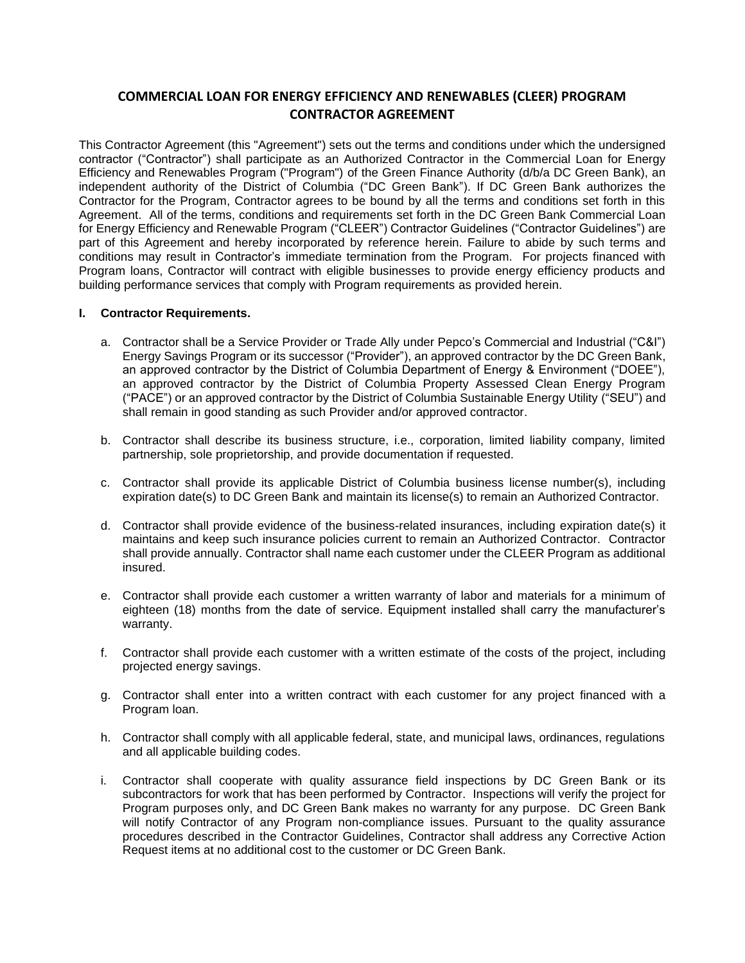# **COMMERCIAL LOAN FOR ENERGY EFFICIENCY AND RENEWABLES (CLEER) PROGRAM CONTRACTOR AGREEMENT**

This Contractor Agreement (this "Agreement") sets out the terms and conditions under which the undersigned contractor ("Contractor") shall participate as an Authorized Contractor in the Commercial Loan for Energy Efficiency and Renewables Program ("Program") of the Green Finance Authority (d/b/a DC Green Bank), an independent authority of the District of Columbia ("DC Green Bank"). If DC Green Bank authorizes the Contractor for the Program, Contractor agrees to be bound by all the terms and conditions set forth in this Agreement. All of the terms, conditions and requirements set forth in the DC Green Bank Commercial Loan for Energy Efficiency and Renewable Program ("CLEER") Contractor Guidelines ("Contractor Guidelines") are part of this Agreement and hereby incorporated by reference herein. Failure to abide by such terms and conditions may result in Contractor's immediate termination from the Program. For projects financed with Program loans, Contractor will contract with eligible businesses to provide energy efficiency products and building performance services that comply with Program requirements as provided herein.

### **I. Contractor Requirements.**

- a. Contractor shall be a Service Provider or Trade Ally under Pepco's Commercial and Industrial ("C&I") Energy Savings Program or its successor ("Provider"), an approved contractor by the DC Green Bank, an approved contractor by the District of Columbia Department of Energy & Environment ("DOEE"), an approved contractor by the District of Columbia Property Assessed Clean Energy Program ("PACE") or an approved contractor by the District of Columbia Sustainable Energy Utility ("SEU") and shall remain in good standing as such Provider and/or approved contractor.
- b. Contractor shall describe its business structure, i.e., corporation, limited liability company, limited partnership, sole proprietorship, and provide documentation if requested.
- c. Contractor shall provide its applicable District of Columbia business license number(s), including expiration date(s) to DC Green Bank and maintain its license(s) to remain an Authorized Contractor.
- d. Contractor shall provide evidence of the business-related insurances, including expiration date(s) it maintains and keep such insurance policies current to remain an Authorized Contractor. Contractor shall provide annually. Contractor shall name each customer under the CLEER Program as additional insured.
- e. Contractor shall provide each customer a written warranty of labor and materials for a minimum of eighteen (18) months from the date of service. Equipment installed shall carry the manufacturer's warranty.
- f. Contractor shall provide each customer with a written estimate of the costs of the project, including projected energy savings.
- g. Contractor shall enter into a written contract with each customer for any project financed with a Program loan.
- h. Contractor shall comply with all applicable federal, state, and municipal laws, ordinances, regulations and all applicable building codes.
- i. Contractor shall cooperate with quality assurance field inspections by DC Green Bank or its subcontractors for work that has been performed by Contractor. Inspections will verify the project for Program purposes only, and DC Green Bank makes no warranty for any purpose. DC Green Bank will notify Contractor of any Program non-compliance issues. Pursuant to the quality assurance procedures described in the Contractor Guidelines, Contractor shall address any Corrective Action Request items at no additional cost to the customer or DC Green Bank.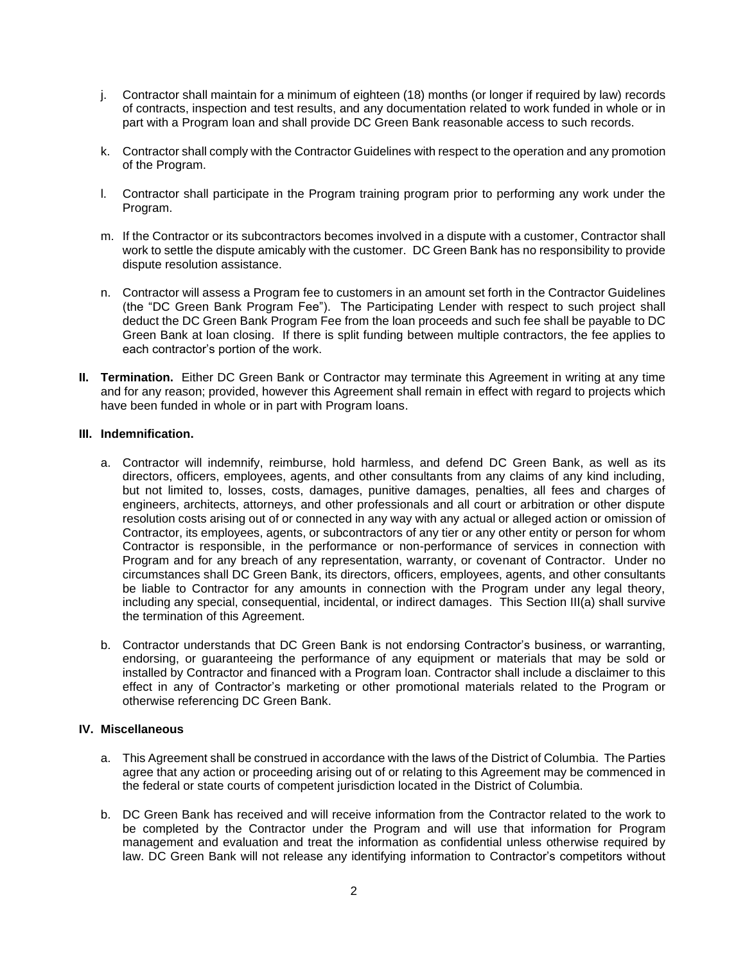- j. Contractor shall maintain for a minimum of eighteen (18) months (or longer if required by law) records of contracts, inspection and test results, and any documentation related to work funded in whole or in part with a Program loan and shall provide DC Green Bank reasonable access to such records.
- k. Contractor shall comply with the Contractor Guidelines with respect to the operation and any promotion of the Program.
- l. Contractor shall participate in the Program training program prior to performing any work under the Program.
- m. If the Contractor or its subcontractors becomes involved in a dispute with a customer, Contractor shall work to settle the dispute amicably with the customer. DC Green Bank has no responsibility to provide dispute resolution assistance.
- n. Contractor will assess a Program fee to customers in an amount set forth in the Contractor Guidelines (the "DC Green Bank Program Fee"). The Participating Lender with respect to such project shall deduct the DC Green Bank Program Fee from the loan proceeds and such fee shall be payable to DC Green Bank at loan closing. If there is split funding between multiple contractors, the fee applies to each contractor's portion of the work.
- **II. Termination.** Either DC Green Bank or Contractor may terminate this Agreement in writing at any time and for any reason; provided, however this Agreement shall remain in effect with regard to projects which have been funded in whole or in part with Program loans.

# **III. Indemnification.**

- a. Contractor will indemnify, reimburse, hold harmless, and defend DC Green Bank, as well as its directors, officers, employees, agents, and other consultants from any claims of any kind including, but not limited to, losses, costs, damages, punitive damages, penalties, all fees and charges of engineers, architects, attorneys, and other professionals and all court or arbitration or other dispute resolution costs arising out of or connected in any way with any actual or alleged action or omission of Contractor, its employees, agents, or subcontractors of any tier or any other entity or person for whom Contractor is responsible, in the performance or non-performance of services in connection with Program and for any breach of any representation, warranty, or covenant of Contractor. Under no circumstances shall DC Green Bank, its directors, officers, employees, agents, and other consultants be liable to Contractor for any amounts in connection with the Program under any legal theory, including any special, consequential, incidental, or indirect damages. This Section III(a) shall survive the termination of this Agreement.
- b. Contractor understands that DC Green Bank is not endorsing Contractor's business, or warranting, endorsing, or guaranteeing the performance of any equipment or materials that may be sold or installed by Contractor and financed with a Program loan. Contractor shall include a disclaimer to this effect in any of Contractor's marketing or other promotional materials related to the Program or otherwise referencing DC Green Bank.

# **IV. Miscellaneous**

- a. This Agreement shall be construed in accordance with the laws of the District of Columbia. The Parties agree that any action or proceeding arising out of or relating to this Agreement may be commenced in the federal or state courts of competent jurisdiction located in the District of Columbia.
- b. DC Green Bank has received and will receive information from the Contractor related to the work to be completed by the Contractor under the Program and will use that information for Program management and evaluation and treat the information as confidential unless otherwise required by law. DC Green Bank will not release any identifying information to Contractor's competitors without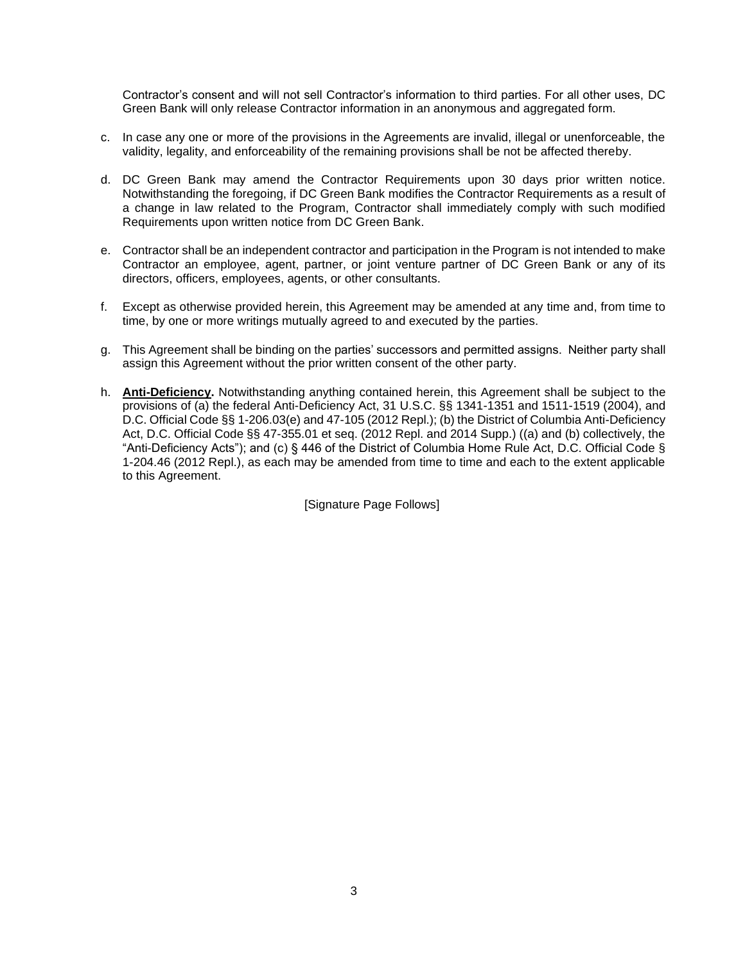Contractor's consent and will not sell Contractor's information to third parties. For all other uses, DC Green Bank will only release Contractor information in an anonymous and aggregated form.

- c. In case any one or more of the provisions in the Agreements are invalid, illegal or unenforceable, the validity, legality, and enforceability of the remaining provisions shall be not be affected thereby.
- d. DC Green Bank may amend the Contractor Requirements upon 30 days prior written notice. Notwithstanding the foregoing, if DC Green Bank modifies the Contractor Requirements as a result of a change in law related to the Program, Contractor shall immediately comply with such modified Requirements upon written notice from DC Green Bank.
- e. Contractor shall be an independent contractor and participation in the Program is not intended to make Contractor an employee, agent, partner, or joint venture partner of DC Green Bank or any of its directors, officers, employees, agents, or other consultants.
- f. Except as otherwise provided herein, this Agreement may be amended at any time and, from time to time, by one or more writings mutually agreed to and executed by the parties.
- g. This Agreement shall be binding on the parties' successors and permitted assigns. Neither party shall assign this Agreement without the prior written consent of the other party.
- h. **Anti-Deficiency.** Notwithstanding anything contained herein, this Agreement shall be subject to the provisions of (a) the federal Anti-Deficiency Act, 31 U.S.C. §§ 1341-1351 and 1511-1519 (2004), and D.C. Official Code §§ 1-206.03(e) and 47-105 (2012 Repl.); (b) the District of Columbia Anti-Deficiency Act, D.C. Official Code §§ 47-355.01 et seq. (2012 Repl. and 2014 Supp.) ((a) and (b) collectively, the "Anti-Deficiency Acts"); and (c) § 446 of the District of Columbia Home Rule Act, D.C. Official Code § 1-204.46 (2012 Repl.), as each may be amended from time to time and each to the extent applicable to this Agreement.

[Signature Page Follows]